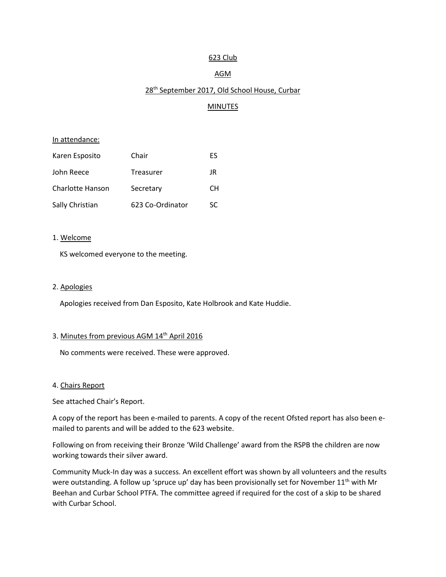## 623 Club

### AGM

### 28<sup>th</sup> September 2017, Old School House, Curbar

### MINUTES

#### In attendance:

| Karen Esposito   | Chair            | ES  |
|------------------|------------------|-----|
| John Reece       | Treasurer        | JR  |
| Charlotte Hanson | Secretary        | CН  |
| Sally Christian  | 623 Co-Ordinator | SC. |

#### 1. Welcome

KS welcomed everyone to the meeting.

#### 2. Apologies

Apologies received from Dan Esposito, Kate Holbrook and Kate Huddie.

# 3. Minutes from previous AGM 14<sup>th</sup> April 2016

No comments were received. These were approved.

### 4. Chairs Report

See attached Chair's Report.

A copy of the report has been e-mailed to parents. A copy of the recent Ofsted report has also been emailed to parents and will be added to the 623 website.

Following on from receiving their Bronze 'Wild Challenge' award from the RSPB the children are now working towards their silver award.

Community Muck-In day was a success. An excellent effort was shown by all volunteers and the results were outstanding. A follow up 'spruce up' day has been provisionally set for November 11<sup>th</sup> with Mr Beehan and Curbar School PTFA. The committee agreed if required for the cost of a skip to be shared with Curbar School.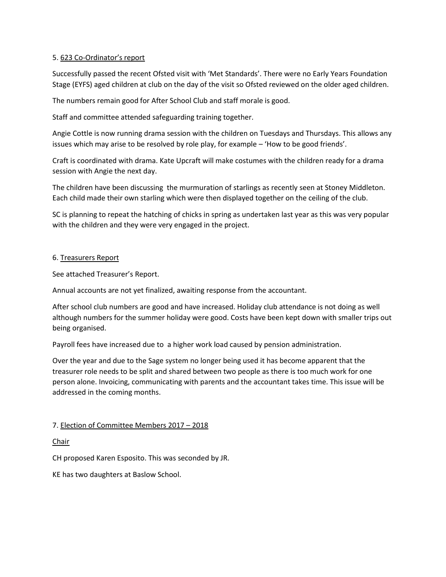## 5. 623 Co-Ordinator's report

Successfully passed the recent Ofsted visit with 'Met Standards'. There were no Early Years Foundation Stage (EYFS) aged children at club on the day of the visit so Ofsted reviewed on the older aged children.

The numbers remain good for After School Club and staff morale is good.

Staff and committee attended safeguarding training together.

Angie Cottle is now running drama session with the children on Tuesdays and Thursdays. This allows any issues which may arise to be resolved by role play, for example – 'How to be good friends'.

Craft is coordinated with drama. Kate Upcraft will make costumes with the children ready for a drama session with Angie the next day.

The children have been discussing the murmuration of starlings as recently seen at Stoney Middleton. Each child made their own starling which were then displayed together on the ceiling of the club.

SC is planning to repeat the hatching of chicks in spring as undertaken last year as this was very popular with the children and they were very engaged in the project.

## 6. Treasurers Report

See attached Treasurer's Report.

Annual accounts are not yet finalized, awaiting response from the accountant.

After school club numbers are good and have increased. Holiday club attendance is not doing as well although numbers for the summer holiday were good. Costs have been kept down with smaller trips out being organised.

Payroll fees have increased due to a higher work load caused by pension administration.

Over the year and due to the Sage system no longer being used it has become apparent that the treasurer role needs to be split and shared between two people as there is too much work for one person alone. Invoicing, communicating with parents and the accountant takes time. This issue will be addressed in the coming months.

7. Election of Committee Members 2017 – 2018

## Chair

CH proposed Karen Esposito. This was seconded by JR.

KE has two daughters at Baslow School.